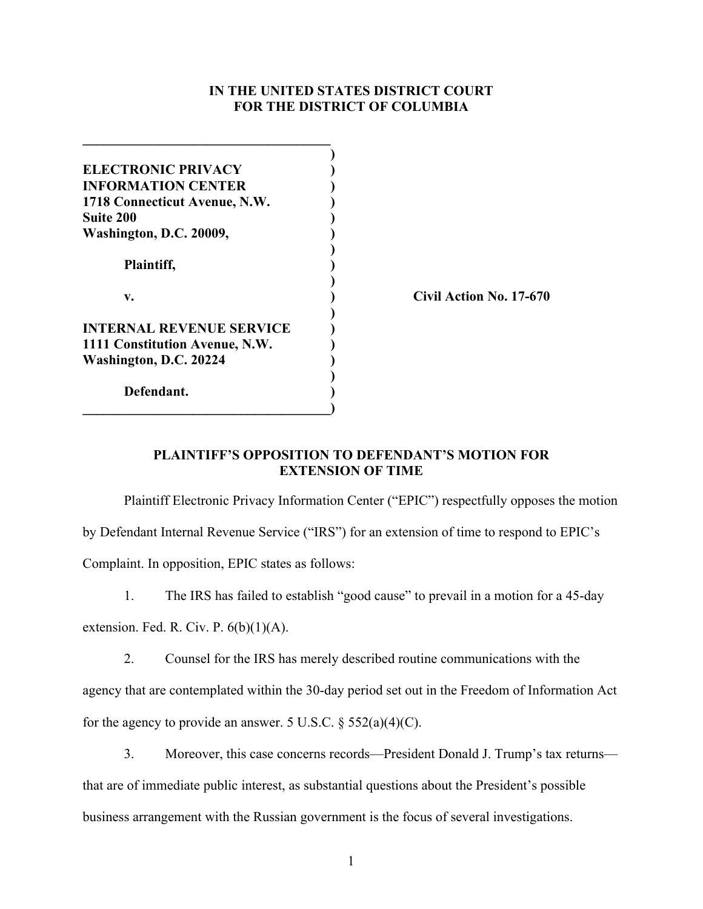## **IN THE UNITED STATES DISTRICT COURT FOR THE DISTRICT OF COLUMBIA**

| <b>ELECTRONIC PRIVACY</b>       |                         |
|---------------------------------|-------------------------|
| <b>INFORMATION CENTER</b>       |                         |
| 1718 Connecticut Avenue, N.W.   |                         |
| <b>Suite 200</b>                |                         |
| Washington, D.C. 20009,         |                         |
|                                 |                         |
| Plaintiff,                      |                         |
|                                 |                         |
| v.                              | Civil Action No. 17-670 |
|                                 |                         |
| <b>INTERNAL REVENUE SERVICE</b> |                         |
| 1111 Constitution Avenue, N.W.  |                         |
| Washington, D.C. 20224          |                         |
|                                 |                         |
| Defendant.                      |                         |
|                                 |                         |

## **PLAINTIFF'S OPPOSITION TO DEFENDANT'S MOTION FOR EXTENSION OF TIME**

Plaintiff Electronic Privacy Information Center ("EPIC") respectfully opposes the motion by Defendant Internal Revenue Service ("IRS") for an extension of time to respond to EPIC's Complaint. In opposition, EPIC states as follows:

1. The IRS has failed to establish "good cause" to prevail in a motion for a 45-day

extension. Fed. R. Civ. P.  $6(b)(1)(A)$ .

2. Counsel for the IRS has merely described routine communications with the agency that are contemplated within the 30-day period set out in the Freedom of Information Act for the agency to provide an answer. 5 U.S.C.  $\S$  552(a)(4)(C).

3. Moreover, this case concerns records—President Donald J. Trump's tax returns that are of immediate public interest, as substantial questions about the President's possible business arrangement with the Russian government is the focus of several investigations.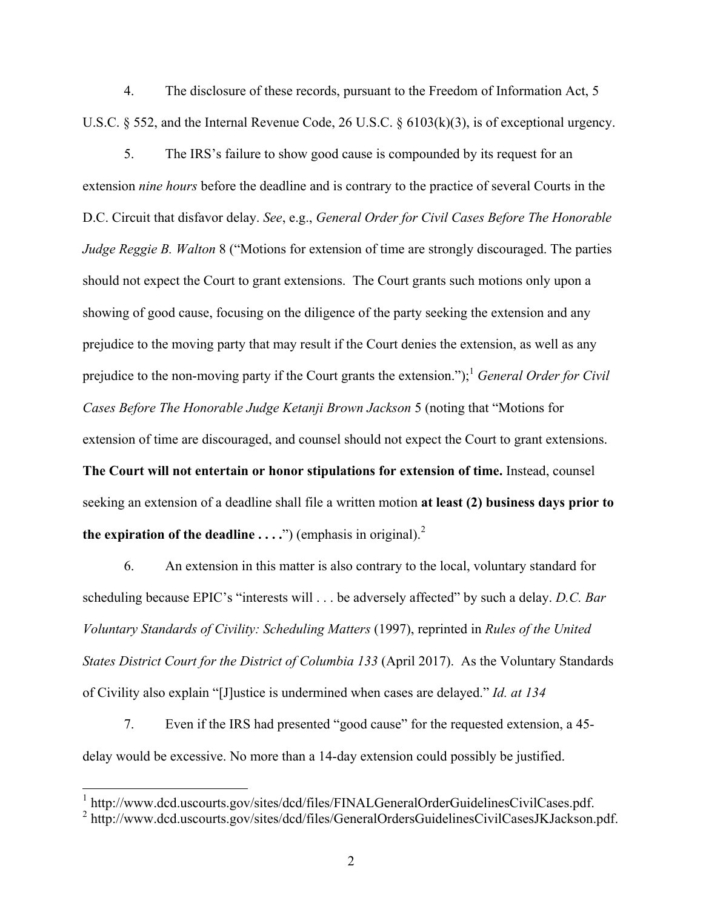4. The disclosure of these records, pursuant to the Freedom of Information Act, 5 U.S.C. § 552, and the Internal Revenue Code, 26 U.S.C. § 6103(k)(3), is of exceptional urgency.

5. The IRS's failure to show good cause is compounded by its request for an extension *nine hours* before the deadline and is contrary to the practice of several Courts in the D.C. Circuit that disfavor delay. *See*, e.g., *General Order for Civil Cases Before The Honorable Judge Reggie B. Walton* 8 ("Motions for extension of time are strongly discouraged. The parties should not expect the Court to grant extensions. The Court grants such motions only upon a showing of good cause, focusing on the diligence of the party seeking the extension and any prejudice to the moving party that may result if the Court denies the extension, as well as any prejudice to the non-moving party if the Court grants the extension.");<sup>1</sup> *General Order for Civil Cases Before The Honorable Judge Ketanji Brown Jackson* 5 (noting that "Motions for extension of time are discouraged, and counsel should not expect the Court to grant extensions. **The Court will not entertain or honor stipulations for extension of time.** Instead, counsel seeking an extension of a deadline shall file a written motion **at least (2) business days prior to the expiration of the deadline ....**") (emphasis in original).<sup>2</sup>

6. An extension in this matter is also contrary to the local, voluntary standard for scheduling because EPIC's "interests will . . . be adversely affected" by such a delay. *D.C. Bar Voluntary Standards of Civility: Scheduling Matters* (1997), reprinted in *Rules of the United States District Court for the District of Columbia 133* (April 2017). As the Voluntary Standards of Civility also explain "[J]ustice is undermined when cases are delayed." *Id. at 134*

7. Even if the IRS had presented "good cause" for the requested extension, a 45 delay would be excessive. No more than a 14-day extension could possibly be justified.

 <sup>1</sup> http://www.dcd.uscourts.gov/sites/dcd/files/FINALGeneralOrderGuidelinesCivilCases.pdf.

<sup>&</sup>lt;sup>2</sup> http://www.dcd.uscourts.gov/sites/dcd/files/GeneralOrdersGuidelinesCivilCasesJKJackson.pdf.